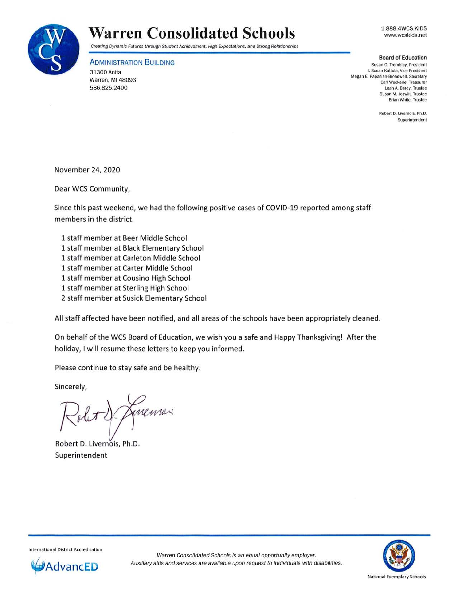

## **Warren Consolidated Schools**

1.888.4WCS.KIDS www.wcskids.net

Creating Dynamic Futures through Student Achievement, High Expectations, and Strong Relationships

**ADMINISTRATION BUILDING** 

31300 Anita Warren, Ml 48093 586.825.2400

**Board of Education** 

**Susan G. Trombley. President I. Susan Kattula, Vice President Megan E. Papasian-Broadwell, Secretary Carl Weckerle, Treasurer** Leah A. Berdy, Trustee **Susan M. Jozwik, Trustee Brian White, Trustee** 

> **Robert D. Livernois, Ph.D. Superintendent**

November 24, 2020

Dear WCS Community,

Since this past weekend, we had the following positive cases of COVID-19 reported among staff members in the district.

1 staff member at Beer Middle School 1 staff member at Black Elementary School 1 staff member at Carleton Middle School 1 staff member at Carter Middle School 1 staff member at Cousino High School 1 staff member at Sterling High School 2 staff member at Susick Elementary School

All staff affected have been notified, and all areas of the schools have been appropriately cleaned .

On behalf of the WCS Board of Education, we wish you a safe and Happy Thanksgiving! After the holiday, I will resume these letters to keep you informed.

Please continue to stay safe and be healthy.

Sincerely,

A De Amenia

Robert D. Livernois, Ph.D. Superintendent

International District Accreditation